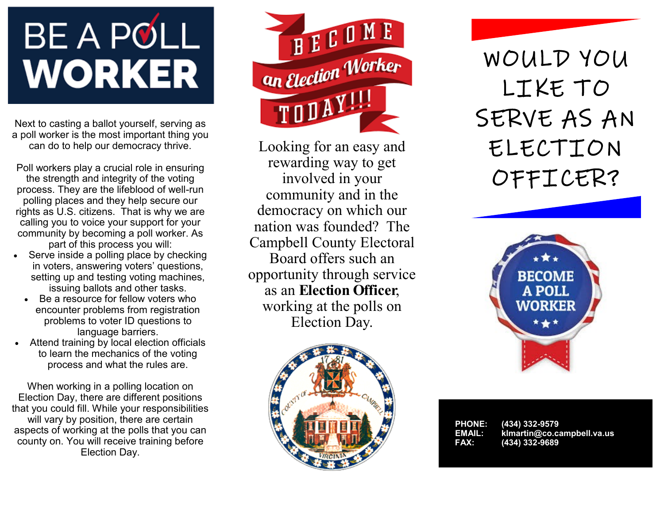# **BE A POLL WORKER**

Next to casting a ballot yourself, serving as a poll worker is the most important thing you can do to help our democracy thrive.

Poll workers play a crucial role in ensuring the strength and integrity of the voting process. They are the lifeblood of well-run polling places and they help secure our rights as U.S. citizens. That is why we are calling you to voice your support for your community by becoming a poll worker. As part of this process you will:

- Serve inside a polling place by checking in voters, answering voters' questions, setting up and testing voting machines, issuing ballots and other tasks.
	- Be a resource for fellow voters who encounter problems from registration problems to voter ID questions to language barriers.
- Attend training by local election officials to learn the mechanics of the voting process and what the rules are.

When working in a polling location on Election Day, there are different positions that you could fill. While your responsibilities will vary by position, there are certain aspects of working at the polls that you can county on. You will receive training before Election Day.



Looking for an easy and rewarding way to get involved in your community and in the democracy on which our nation was founded? The Campbell County Electoral Board offers such an opportunity through service as an **Election Officer**, working at the polls on Election Day.



WOULD YOU LIKE TO SERVE AS AN ELECTION OFFICER?



| <b>PHONE:</b> | (434) 332-9579             |
|---------------|----------------------------|
| EMAIL:        | klmartin@co.campbell.va.us |
| FAX:          | (434) 332-96891            |